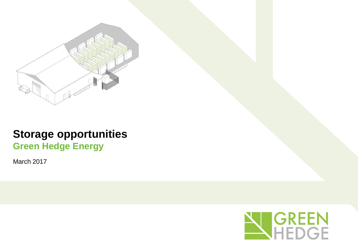

# **Storage opportunities Green Hedge Energy**

March 2017

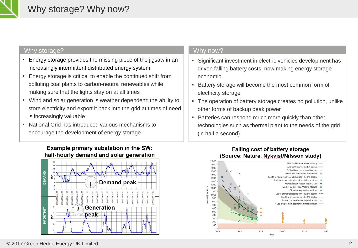

#### Why storage?

- **Energy storage provides the missing piece of the jigsaw in an** increasingly intermittent distributed energy system
- **Energy storage is critical to enable the continued shift from** polluting coal plants to carbon-neutral renewables while making sure that the lights stay on at all times
- Wind and solar generation is weather dependent; the ability to store electricity and export it back into the grid at times of need is increasingly valuable
- National Grid has introduced various mechanisms to encourage the development of energy storage



### Why now?

- Significant investment in electric vehicles development has driven falling battery costs, now making energy storage economic
- Battery storage will become the most common form of electricity storage
- The operation of battery storage creates no pollution, unlike other forms of backup peak power
- **Batteries can respond much more quickly than other** technologies such as thermal plant to the needs of the grid (in half a second)



#### **Falling cost of battery storage** (Source: Nature, Nykvist/Nilsson study)

#### © 2017 Green Hedge Energy UK Limited 2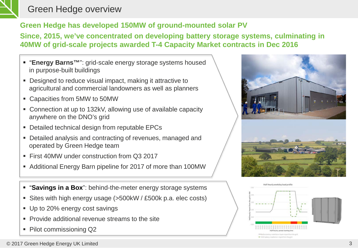

## Green Hedge overview

## **Green Hedge has developed 150MW of ground-mounted solar PV**

### **Since, 2015, we've concentrated on developing battery storage systems, culminating in 40MW of grid-scale projects awarded T-4 Capacity Market contracts in Dec 2016**

- "**Energy Barns**<sup>™</sup>": grid-scale energy storage systems housed in purpose-built buildings
- Designed to reduce visual impact, making it attractive to agricultural and commercial landowners as well as planners
- Capacities from 5MW to 50MW
- Connection at up to 132kV, allowing use of available capacity anywhere on the DNO's grid
- Detailed technical design from reputable EPCs
- Detailed analysis and contracting of revenues, managed and operated by Green Hedge team
- First 40MW under construction from Q3 2017
- Additional Energy Barn pipeline for 2017 of more than 100MW
- "**Savings in a Box**": behind-the-meter energy storage systems
- Sites with high energy usage (>500kW / £500k p.a. elec costs)
- Up to 20% energy cost savings
- **Provide additional revenue streams to the site**
- Pilot commissioning Q2



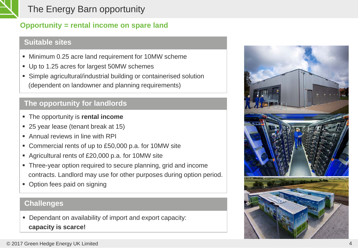

## The Energy Barn opportunity

### **Opportunity = rental income on spare land**

### **Suitable sites**

- Minimum 0.25 acre land requirement for 10MW scheme
- Up to 1.25 acres for largest 50MW schemes
- Simple agricultural/industrial building or containerised solution (dependent on landowner and planning requirements)

## **The opportunity for landlords**

- The opportunity is **rental income**
- 25 year lease (tenant break at 15)
- Annual reviews in line with RPI
- Commercial rents of up to £50,000 p.a. for 10MW site
- Agricultural rents of £20,000 p.a. for 10MW site
- Three-year option required to secure planning, grid and income contracts. Landlord may use for other purposes during option period.
- Option fees paid on signing

### **Challenges**

**Dependant on availability of import and export capacity: capacity is scarce!**

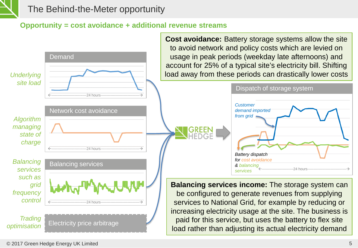

The Behind-the-Meter opportunity

### **Opportunity = cost avoidance + additional revenue streams**

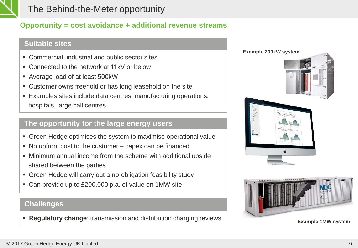

## The Behind-the-Meter opportunity

### **Opportunity = cost avoidance + additional revenue streams**

### **Suitable sites**

- Commercial, industrial and public sector sites
- Connected to the network at 11kV or below
- Average load of at least 500kW
- Customer owns freehold or has long leasehold on the site
- Examples sites include data centres, manufacturing operations, hospitals, large call centres

### **The opportunity for the large energy users**

- Green Hedge optimises the system to maximise operational value
- No upfront cost to the customer capex can be financed
- Minimum annual income from the scheme with additional upside shared between the parties
- Green Hedge will carry out a no-obligation feasibility study
- Can provide up to £200,000 p.a. of value on 1MW site

### **Challenges**

**Regulatory change**: transmission and distribution charging reviews **Example 1MW** system



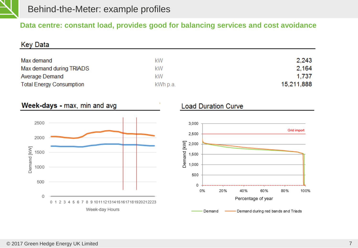

### **Data centre: constant load, provides good for balancing services and cost avoidance**

| <b>Key Data</b>                                                                  |                            |                                    |
|----------------------------------------------------------------------------------|----------------------------|------------------------------------|
| Max demand                                                                       | kW                         | 2,243                              |
| Max demand during TRIADS                                                         | kW                         | 2,164                              |
| <b>Average Demand</b>                                                            | kW                         | 1,737                              |
| <b>Total Energy Consumption</b>                                                  | kWh p.a.                   | 15,211,888                         |
| Week-days - max, min and avg                                                     | <b>Load Duration Curve</b> |                                    |
| 2500                                                                             | 3,000                      |                                    |
| 2000                                                                             | 2,500                      | Grid import                        |
|                                                                                  | 2,000                      |                                    |
| 1500                                                                             | Demand [kW]<br>1,500       |                                    |
| Demand [kW]<br>1000                                                              | 1,000                      |                                    |
|                                                                                  | 500                        |                                    |
| 500                                                                              | 0                          |                                    |
| Ω                                                                                | 0%<br>20%<br>40%           | 60%<br>80%<br>100%                 |
| 8 9 1011 1213 1415 1617 1819 20 21 22 23<br>0 <sub>1</sub><br>23<br>56<br>7<br>4 |                            | Percentage of year                 |
| Week-day Hours                                                                   | Demand                     | Demand during red bands and Triads |

#### © 2017 Green Hedge Energy UK Limited 7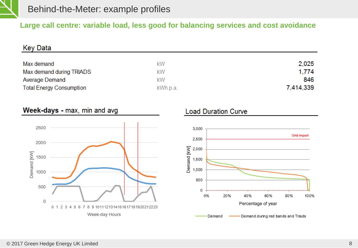

### **Large call centre: variable load, less good for balancing services and cost avoidance**

| Key Data                        |          |           |
|---------------------------------|----------|-----------|
|                                 |          |           |
| Max demand                      | kW       | 2,025     |
| Max demand during TRIADS        | kW       | 1,774     |
| <b>Average Demand</b>           | kW       | 846       |
| <b>Total Energy Consumption</b> | kWh p.a. | 7,414,339 |

### Week-days - max, min and avg



### **Load Duration Curve**

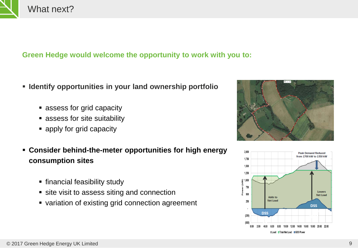

## What next?

### **Green Hedge would welcome the opportunity to work with you to:**

- **Identify opportunities in your land ownership portfolio**
	- **assess for grid capacity**
	- assess for site suitability
	- apply for grid capacity
- **Consider behind-the-meter opportunities for high energy consumption sites**
	- **financial feasibility study**
	- **site visit to assess siting and connection**
	- variation of existing grid connection agreement